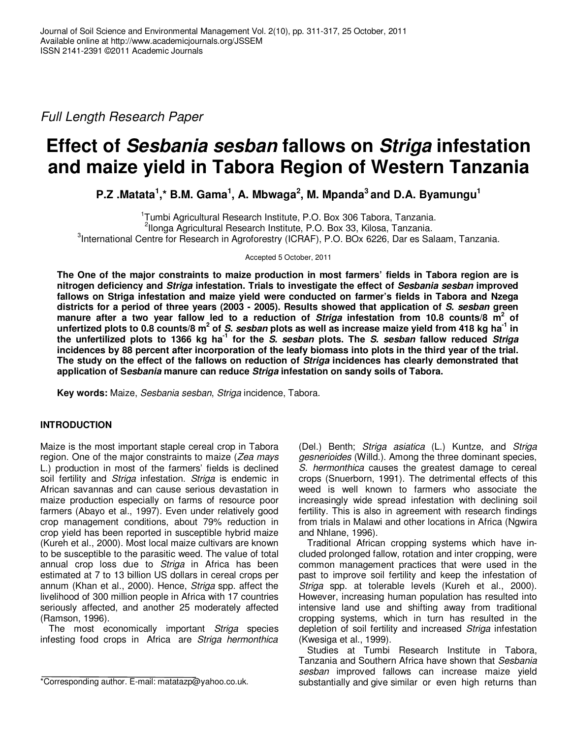Full Length Research Paper

# **Effect of Sesbania sesban fallows on Striga infestation and maize yield in Tabora Region of Western Tanzania**

**P.Z .Matata<sup>1</sup> ,\* B.M. Gama<sup>1</sup> , A. Mbwaga<sup>2</sup> , M. Mpanda<sup>3</sup>and D.A. Byamungu<sup>1</sup>**

1 Tumbi Agricultural Research Institute, P.O. Box 306 Tabora, Tanzania. 2 Ilonga Agricultural Research Institute, P.O. Box 33, Kilosa, Tanzania. <sup>3</sup>International Centre for Research in Agroforestry (ICRAF), P.O. BOx 6226, Dar es Salaam, Tanzania.

Accepted 5 October, 2011

**The One of the major constraints to maize production in most farmers' fields in Tabora region are is nitrogen deficiency and Striga infestation. Trials to investigate the effect of Sesbania sesban improved fallows on Striga infestation and maize yield were conducted on farmer's fields in Tabora and Nzega districts for a period of three years (2003 - 2005). Results showed that application of S. sesban green manure after a two year fallow led to a reduction of Striga infestation from 10.8 counts/8 m<sup>2</sup> of**  unfertized plots to 0.8 counts/8 m<sup>2</sup> of *S. sesban* plots as well as increase maize yield from 418 kg ha<sup>-1</sup> in **the unfertilized plots to 1366 kg ha-1 for the S. sesban plots. The S. sesban fallow reduced Striga incidences by 88 percent after incorporation of the leafy biomass into plots in the third year of the trial. The study on the effect of the fallows on reduction of Striga incidences has clearly demonstrated that application of Sesbania manure can reduce Striga infestation on sandy soils of Tabora.** 

**Key words:** Maize, Sesbania sesban, Striga incidence, Tabora.

## **INTRODUCTION**

Maize is the most important staple cereal crop in Tabora region. One of the major constraints to maize (Zea mays) L.) production in most of the farmers' fields is declined soil fertility and Striga infestation. Striga is endemic in African savannas and can cause serious devastation in maize production especially on farms of resource poor farmers (Abayo et al., 1997). Even under relatively good crop management conditions, about 79% reduction in crop yield has been reported in susceptible hybrid maize (Kureh et al., 2000). Most local maize cultivars are known to be susceptible to the parasitic weed. The value of total annual crop loss due to Striga in Africa has been estimated at 7 to 13 billion US dollars in cereal crops per annum (Khan et al., 2000). Hence, Striga spp. affect the livelihood of 300 million people in Africa with 17 countries seriously affected, and another 25 moderately affected (Ramson, 1996).

The most economically important Striga species infesting food crops in Africa are Striga hermonthica

(Del.) Benth; Striga asiatica (L.) Kuntze, and Striga gesnerioides (Willd.). Among the three dominant species, S. hermonthica causes the greatest damage to cereal crops (Snuerborn, 1991). The detrimental effects of this weed is well known to farmers who associate the increasingly wide spread infestation with declining soil fertility. This is also in agreement with research findings from trials in Malawi and other locations in Africa (Ngwira and Nhlane, 1996).

Traditional African cropping systems which have included prolonged fallow, rotation and inter cropping, were common management practices that were used in the past to improve soil fertility and keep the infestation of Striga spp. at tolerable levels (Kureh et al., 2000). However, increasing human population has resulted into intensive land use and shifting away from traditional cropping systems, which in turn has resulted in the depletion of soil fertility and increased Striga infestation (Kwesiga et al., 1999).

Studies at Tumbi Research Institute in Tabora, Tanzania and Southern Africa have shown that Sesbania sesban improved fallows can increase maize yield substantially and give similar or even high returns than

<sup>\*</sup>Corresponding author. E-mail: matatazp@yahoo.co.uk.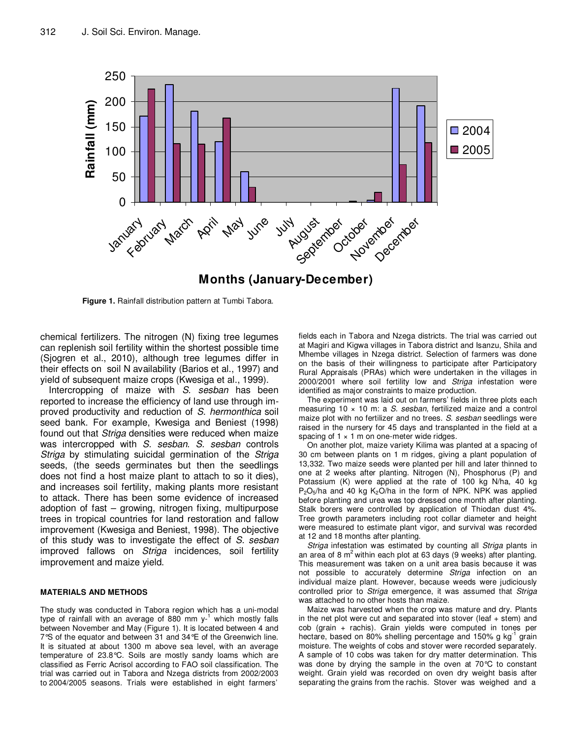

**Figure 1.** Rainfall distribution pattern at Tumbi Tabora.

chemical fertilizers. The nitrogen (N) fixing tree legumes can replenish soil fertility within the shortest possible time (Sjogren et al., 2010), although tree legumes differ in their effects on soil N availability (Barios et al., 1997) and yield of subsequent maize crops (Kwesiga et al., 1999).

Intercropping of maize with S. sesban has been reported to increase the efficiency of land use through improved productivity and reduction of S. hermonthica soil seed bank. For example, Kwesiga and Beniest (1998) found out that Striga densities were reduced when maize was intercropped with S. sesban. S. sesban controls Striga by stimulating suicidal germination of the Striga seeds, (the seeds germinates but then the seedlings does not find a host maize plant to attach to so it dies), and increases soil fertility, making plants more resistant to attack. There has been some evidence of increased adoption of fast – growing, nitrogen fixing, multipurpose trees in tropical countries for land restoration and fallow improvement (Kwesiga and Beniest, 1998). The objective of this study was to investigate the effect of S. sesban improved fallows on Striga incidences, soil fertility improvement and maize yield.

#### **MATERIALS AND METHODS**

The study was conducted in Tabora region which has a uni-modal type of rainfall with an average of 880 mm y-<sup>1</sup> which mostly falls between November and May (Figure 1). It is located between 4 and 7°S of the equator and between 31 and 34°E of the Greenwich line. It is situated at about 1300 m above sea level, with an average temperature of 23.8°C. Soils are mostly sandy loams which are classified as Ferric Acrisol according to FAO soil classification. The trial was carried out in Tabora and Nzega districts from 2002/2003 to 2004/2005 seasons. Trials were established in eight farmers'

fields each in Tabora and Nzega districts. The trial was carried out at Magiri and Kigwa villages in Tabora district and Isanzu, Shila and Mhembe villages in Nzega district. Selection of farmers was done on the basis of their willingness to participate after Participatory Rural Appraisals (PRAs) which were undertaken in the villages in 2000/2001 where soil fertility low and Striga infestation were identified as major constraints to maize production.

The experiment was laid out on farmers' fields in three plots each measuring 10 x 10 m: a S. sesban, fertilized maize and a control maize plot with no fertilizer and no trees. S. sesban seedlings were raised in the nursery for 45 days and transplanted in the field at a spacing of  $1 \times 1$  m on one-meter wide ridges.

On another plot, maize variety Kilima was planted at a spacing of 30 cm between plants on 1 m ridges, giving a plant population of 13,332. Two maize seeds were planted per hill and later thinned to one at 2 weeks after planting. Nitrogen (N), Phosphorus (P) and Potassium (K) were applied at the rate of 100 kg N/ha, 40 kg  $P_2O_5/ha$  and 40 kg  $K_2O/ha$  in the form of NPK. NPK was applied before planting and urea was top dressed one month after planting. Stalk borers were controlled by application of Thiodan dust 4%. Tree growth parameters including root collar diameter and height were measured to estimate plant vigor, and survival was recorded at 12 and 18 months after planting.

Striga infestation was estimated by counting all Striga plants in an area of 8  $m<sup>2</sup>$  within each plot at 63 days (9 weeks) after planting. This measurement was taken on a unit area basis because it was not possible to accurately determine Striga infection on an individual maize plant. However, because weeds were judiciously controlled prior to Striga emergence, it was assumed that Striga was attached to no other hosts than maize.

Maize was harvested when the crop was mature and dry. Plants in the net plot were cut and separated into stover (leaf + stem) and cob (grain + rachis). Grain yields were computed in tones per hectare, based on 80% shelling percentage and 150% g  $kg^{-1}$  grain moisture. The weights of cobs and stover were recorded separately. A sample of 10 cobs was taken for dry matter determination. This was done by drying the sample in the oven at 70°C to constant weight. Grain yield was recorded on oven dry weight basis after separating the grains from the rachis. Stover was weighed and a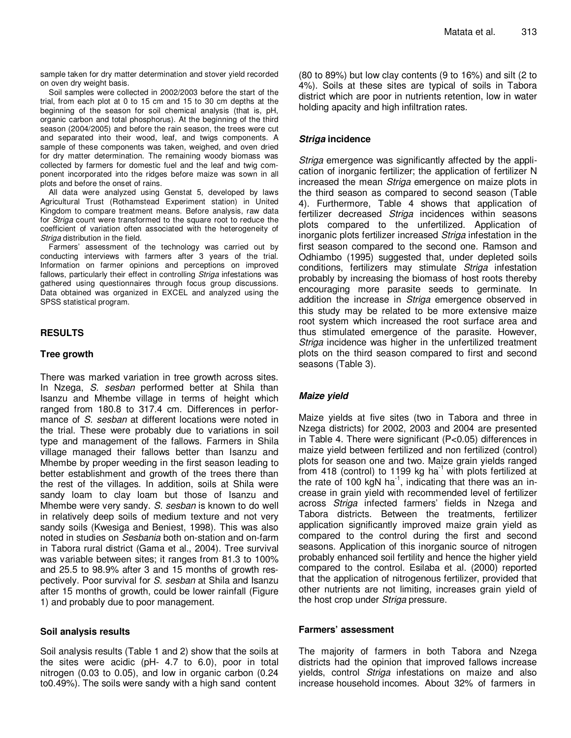sample taken for dry matter determination and stover yield recorded on oven dry weight basis.

Soil samples were collected in 2002/2003 before the start of the trial, from each plot at 0 to 15 cm and 15 to 30 cm depths at the beginning of the season for soil chemical analysis (that is, pH, organic carbon and total phosphorus). At the beginning of the third season (2004/2005) and before the rain season, the trees were cut and separated into their wood, leaf, and twigs components. A sample of these components was taken, weighed, and oven dried for dry matter determination. The remaining woody biomass was collected by farmers for domestic fuel and the leaf and twig component incorporated into the ridges before maize was sown in all plots and before the onset of rains.

All data were analyzed using Genstat 5, developed by laws Agricultural Trust (Rothamstead Experiment station) in United Kingdom to compare treatment means. Before analysis, raw data for Striga count were transformed to the square root to reduce the coefficient of variation often associated with the heterogeneity of Striga distribution in the field.

Farmers' assessment of the technology was carried out by conducting interviews with farmers after 3 years of the trial. Information on farmer opinions and perceptions on improved fallows, particularly their effect in controlling Striga infestations was gathered using questionnaires through focus group discussions. Data obtained was organized in EXCEL and analyzed using the SPSS statistical program.

## **RESULTS**

#### **Tree growth**

There was marked variation in tree growth across sites. In Nzega, S. sesban performed better at Shila than Isanzu and Mhembe village in terms of height which ranged from 180.8 to 317.4 cm. Differences in performance of S. sesban at different locations were noted in the trial. These were probably due to variations in soil type and management of the fallows. Farmers in Shila village managed their fallows better than Isanzu and Mhembe by proper weeding in the first season leading to better establishment and growth of the trees there than the rest of the villages. In addition, soils at Shila were sandy loam to clay loam but those of Isanzu and Mhembe were very sandy. S. sesban is known to do well in relatively deep soils of medium texture and not very sandy soils (Kwesiga and Beniest, 1998). This was also noted in studies on Sesbania both on-station and on-farm in Tabora rural district (Gama et al., 2004). Tree survival was variable between sites; it ranges from 81.3 to 100% and 25.5 to 98.9% after 3 and 15 months of growth respectively. Poor survival for S. sesban at Shila and Isanzu after 15 months of growth, could be lower rainfall (Figure 1) and probably due to poor management.

## **Soil analysis results**

Soil analysis results (Table 1 and 2) show that the soils at the sites were acidic (pH- 4.7 to 6.0), poor in total nitrogen (0.03 to 0.05), and low in organic carbon (0.24 to0.49%). The soils were sandy with a high sand content

(80 to 89%) but low clay contents (9 to 16%) and silt (2 to 4%). Soils at these sites are typical of soils in Tabora district which are poor in nutrients retention, low in water holding apacity and high infiltration rates.

## **Striga incidence**

Striga emergence was significantly affected by the application of inorganic fertilizer; the application of fertilizer N increased the mean Striga emergence on maize plots in the third season as compared to second season (Table 4). Furthermore, Table 4 shows that application of fertilizer decreased Striga incidences within seasons plots compared to the unfertilized. Application of inorganic plots fertilizer increased Striga infestation in the first season compared to the second one. Ramson and Odhiambo (1995) suggested that, under depleted soils conditions, fertilizers may stimulate Striga infestation probably by increasing the biomass of host roots thereby encouraging more parasite seeds to germinate. In addition the increase in Striga emergence observed in this study may be related to be more extensive maize root system which increased the root surface area and thus stimulated emergence of the parasite. However, Striga incidence was higher in the unfertilized treatment plots on the third season compared to first and second seasons (Table 3).

## **Maize yield**

Maize yields at five sites (two in Tabora and three in Nzega districts) for 2002, 2003 and 2004 are presented in Table 4. There were significant (P<0.05) differences in maize yield between fertilized and non fertilized (control) plots for season one and two. Maize grain yields ranged from 418 (control) to 1199 kg ha $^{-1}$  with plots fertilized at the rate of 100 kgN ha<sup>-1</sup>, indicating that there was an increase in grain yield with recommended level of fertilizer across Striga infected farmers' fields in Nzega and Tabora districts. Between the treatments, fertilizer application significantly improved maize grain yield as compared to the control during the first and second seasons. Application of this inorganic source of nitrogen probably enhanced soil fertility and hence the higher yield compared to the control. Esilaba et al. (2000) reported that the application of nitrogenous fertilizer, provided that other nutrients are not limiting, increases grain yield of the host crop under Striga pressure.

## **Farmers' assessment**

The majority of farmers in both Tabora and Nzega districts had the opinion that improved fallows increase yields, control Striga infestations on maize and also increase household incomes. About 32% of farmers in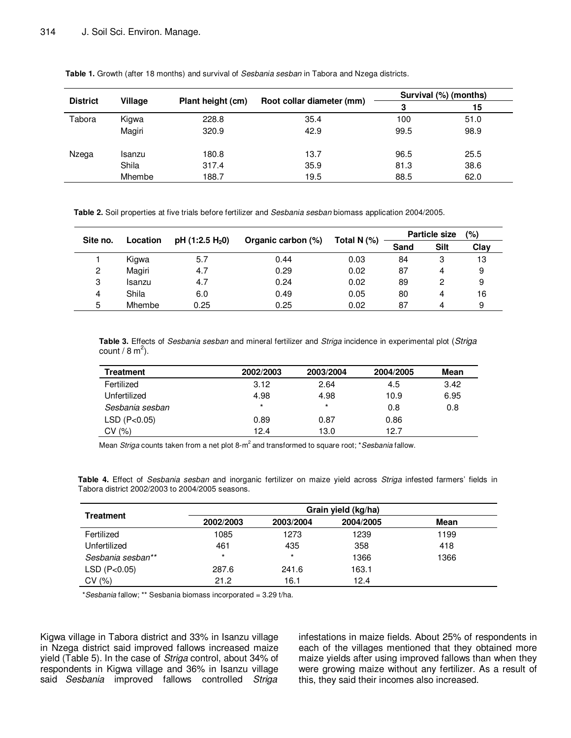| <b>District</b> |         |                   |                           | Survival (%) (months) |      |  |
|-----------------|---------|-------------------|---------------------------|-----------------------|------|--|
|                 | Village | Plant height (cm) | Root collar diameter (mm) | 3                     | 15   |  |
| Tabora          | Kigwa   | 228.8             | 35.4                      | 100                   | 51.0 |  |
|                 | Magiri  | 320.9             | 42.9                      | 99.5                  | 98.9 |  |
| Nzega           | Isanzu  | 180.8             | 13.7                      | 96.5                  | 25.5 |  |
|                 | Shila   | 317.4             | 35.9                      | 81.3                  | 38.6 |  |
|                 | Mhembe  | 188.7             | 19.5                      | 88.5                  | 62.0 |  |

**Table 1.** Growth (after 18 months) and survival of Sesbania sesban in Tabora and Nzega districts.

**Table 2.** Soil properties at five trials before fertilizer and Sesbania sesban biomass application 2004/2005.

| Site no. | Location | pH $(1:2.5 H20)$ |                    | Total N $(%)$ | (%)<br><b>Particle size</b> |      |      |
|----------|----------|------------------|--------------------|---------------|-----------------------------|------|------|
|          |          |                  | Organic carbon (%) |               | Sand                        | Silt | Clay |
|          | Kigwa    | 5.7              | 0.44               | 0.03          | 84                          | 3    | 13   |
| 2        | Magiri   | 4.7              | 0.29               | 0.02          | 87                          | 4    | 9    |
| 3        | Isanzu   | 4.7              | 0.24               | 0.02          | 89                          | 2    | 9    |
| 4        | Shila    | 6.0              | 0.49               | 0.05          | 80                          | 4    | 16   |
| 5        | Mhembe   | 0.25             | 0.25               | 0.02          | 87                          | 4    | 9    |

**Table 3.** Effects of Sesbania sesban and mineral fertilizer and Striga incidence in experimental plot (Striga count / 8 m<sup>2</sup>).

| Treatment       | 2002/2003 | 2003/2004 | 2004/2005 | Mean |
|-----------------|-----------|-----------|-----------|------|
| Fertilized      | 3.12      | 2.64      | 4.5       | 3.42 |
| Unfertilized    | 4.98      | 4.98      | 10.9      | 6.95 |
| Sesbania sesban | $\star$   | $\star$   | 0.8       | 0.8  |
| LSD (P<0.05)    | 0.89      | 0.87      | 0.86      |      |
| CV(%)           | 12.4      | 13.0      | 12.7      |      |

Mean Striga counts taken from a net plot 8- $m^2$  and transformed to square root; \*Sesbania fallow.

**Table 4.** Effect of Sesbania sesban and inorganic fertilizer on maize yield across Striga infested farmers' fields in Tabora district 2002/2003 to 2004/2005 seasons.

|                   | Grain yield (kg/ha) |           |           |      |  |  |
|-------------------|---------------------|-----------|-----------|------|--|--|
| <b>Treatment</b>  | 2002/2003           | 2003/2004 | 2004/2005 | Mean |  |  |
| Fertilized        | 1085                | 1273      | 1239      | 1199 |  |  |
| Unfertilized      | 461                 | 435       | 358       | 418  |  |  |
| Sesbania sesban** | $\star$             | $\star$   | 1366      | 1366 |  |  |
| LSD (P<0.05)      | 287.6               | 241.6     | 163.1     |      |  |  |
| CV(%)             | 21.2                | 16.1      | 12.4      |      |  |  |

\*Sesbania fallow; \*\* Sesbania biomass incorporated = 3.29 t/ha.

Kigwa village in Tabora district and 33% in Isanzu village in Nzega district said improved fallows increased maize yield (Table 5). In the case of Striga control, about 34% of respondents in Kigwa village and 36% in Isanzu village said Sesbania improved fallows controlled Striga

infestations in maize fields. About 25% of respondents in each of the villages mentioned that they obtained more maize yields after using improved fallows than when they were growing maize without any fertilizer. As a result of this, they said their incomes also increased.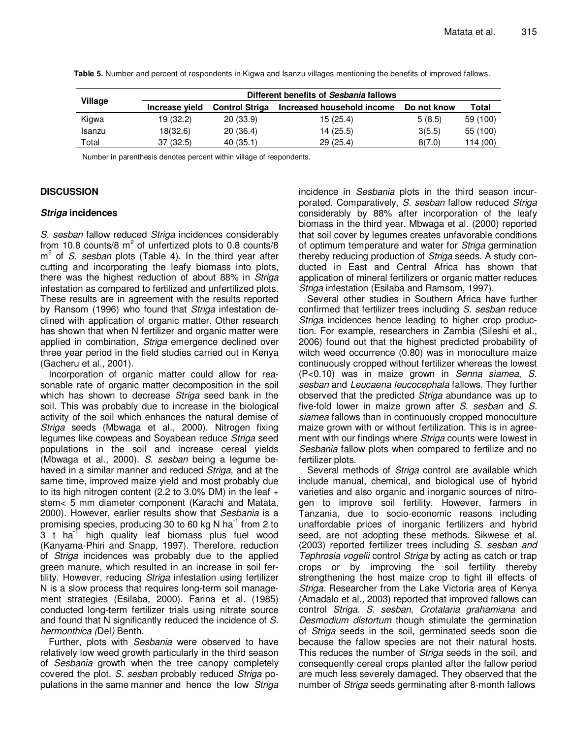|         | Different benefits of Sesbania fallows |                       |                            |             |          |  |  |  |
|---------|----------------------------------------|-----------------------|----------------------------|-------------|----------|--|--|--|
| Village | Increase vield                         | <b>Control Striga</b> | Increased household income | Do not know | Total    |  |  |  |
| Kigwa   | 19 (32.2)                              | 20(33.9)              | 15 (25.4)                  | 5(8.5)      | 59 (100) |  |  |  |
| Isanzu  | 18(32.6)                               | 20(36.4)              | 14 (25.5)                  | 3(5.5)      | 55 (100) |  |  |  |
| Total   | 37(32.5)                               | 40(35.1)              | 29(25.4)                   | 8(7.0)      | 114 (00) |  |  |  |

**Table 5.** Number and percent of respondents in Kigwa and Isanzu villages mentioning the benefits of improved fallows.

Number in parenthesis denotes percent within village of respondents.

## **DISCUSSION**

#### **Striga incidences**

S. sesban fallow reduced Striga incidences considerably from 10.8 counts/8  $m^2$  of unfertized plots to 0.8 counts/8  $m<sup>2</sup>$  of S. sesban plots (Table 4). In the third year after cutting and incorporating the leafy biomass into plots, there was the highest reduction of about 88% in Striga infestation as compared to fertilized and unfertilized plots. These results are in agreement with the results reported by Ransom (1996) who found that Striga infestation declined with application of organic matter. Other research has shown that when N fertilizer and organic matter were applied in combination, Striga emergence declined over three year period in the field studies carried out in Kenya (Gacheru et al., 2001).

Incorporation of organic matter could allow for reasonable rate of organic matter decomposition in the soil which has shown to decrease Striga seed bank in the soil. This was probably due to increase in the biological activity of the soil which enhances the natural demise of Striga seeds (Mbwaga et al., 2000). Nitrogen fixing legumes like cowpeas and Soyabean reduce Striga seed populations in the soil and increase cereal yields (Mbwaga et al., 2000). S. sesban being a legume behaved in a similar manner and reduced Striga, and at the same time, improved maize yield and most probably due to its high nitrogen content (2.2 to 3.0% DM) in the leaf + stem< 5 mm diameter component (Karachi and Matata, 2000). However, earlier results show that Sesbania is a promising species, producing 30 to 60 kg N ha<sup>-1</sup> from 2 to  $3$  t ha<sup>-1</sup> high quality leaf biomass plus fuel wood (Kanyama-Phiri and Snapp, 1997). Therefore, reduction of *Striga* incidences was probably due to the applied green manure, which resulted in an increase in soil fertility. However, reducing Striga infestation using fertilizer N is a slow process that requires long-term soil management strategies (Esilaba, 2000). Farina et al. (1985) conducted long-term fertilizer trials using nitrate source and found that N significantly reduced the incidence of S. hermonthica (Del) Benth.

Further, plots with Sesbania were observed to have relatively low weed growth particularly in the third season of Sesbania growth when the tree canopy completely covered the plot. S. sesban probably reduced Striga populations in the same manner and hence the low Striga incidence in Sesbania plots in the third season incurporated. Comparatively, S. sesban fallow reduced Striga considerably by 88% after incorporation of the leafy biomass in the third year. Mbwaga et al. (2000) reported that soil cover by legumes creates unfavorable conditions of optimum temperature and water for Striga germination thereby reducing production of Striga seeds. A study conducted in East and Central Africa has shown that application of mineral fertilizers or organic matter reduces Striga infestation (Esilaba and Ramsom, 1997).

Several other studies in Southern Africa have further confirmed that fertilizer trees including S. sesban reduce Striga incidences hence leading to higher crop production. For example, researchers in Zambia (Sileshi et al., 2006) found out that the highest predicted probability of witch weed occurrence (0.80) was in monoculture maize continuously cropped without fertilizer whereas the lowest (P<0.10) was in maize grown in Senna siamea, S. sesban and Leucaena leucocephala fallows. They further observed that the predicted Striga abundance was up to five-fold lower in maize grown after S. sesban and S. siamea fallows than in continuously cropped monoculture maize grown with or without fertilization. This is in agreement with our findings where Striga counts were lowest in Sesbania fallow plots when compared to fertilize and no fertilizer plots.

Several methods of Striga control are available which include manual, chemical, and biological use of hybrid varieties and also organic and inorganic sources of nitrogen to improve soil fertility. However, farmers in Tanzania, due to socio-economic reasons including unaffordable prices of inorganic fertilizers and hybrid seed, are not adopting these methods. Sikwese et al. (2003) reported fertilizer trees including S. sesban and Tephrosia vogelii control Striga by acting as catch or trap crops or by improving the soil fertility thereby strengthening the host maize crop to fight ill effects of Striga. Researcher from the Lake Victoria area of Kenya (Amadalo et al., 2003) reported that improved fallows can control Striga. S. sesban, Crotalaria grahamiana and Desmodium distortum though stimulate the germination of *Striga* seeds in the soil, germinated seeds soon die because the fallow species are not their natural hosts. This reduces the number of Striga seeds in the soil, and consequently cereal crops planted after the fallow period are much less severely damaged. They observed that the number of *Striga* seeds germinating after 8-month fallows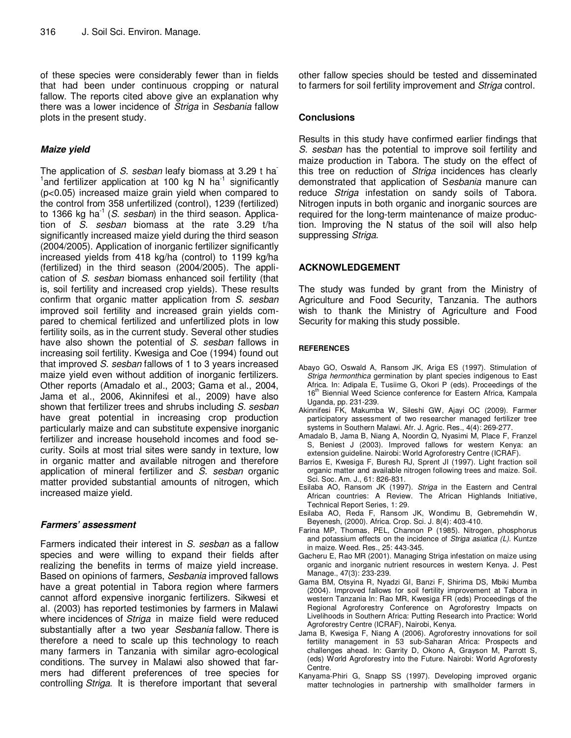of these species were considerably fewer than in fields that had been under continuous cropping or natural fallow. The reports cited above give an explanation why there was a lower incidence of Striga in Sesbania fallow plots in the present study.

#### **Maize yield**

The application of S. sesban leafy biomass at 3.29 t ha  $1$  and fertilizer application at 100 kg N ha $1$  significantly (p<0.05) increased maize grain yield when compared to the control from 358 unfertilized (control), 1239 (fertilized) to 1366 kg ha<sup>-1</sup> (S. sesban) in the third season. Application of S. sesban biomass at the rate 3.29 t/ha significantly increased maize yield during the third season (2004/2005). Application of inorganic fertilizer significantly increased yields from 418 kg/ha (control) to 1199 kg/ha (fertilized) in the third season (2004/2005). The application of S. sesban biomass enhanced soil fertility (that is, soil fertility and increased crop yields). These results confirm that organic matter application from S. sesban improved soil fertility and increased grain yields compared to chemical fertilized and unfertilized plots in low fertility soils, as in the current study. Several other studies have also shown the potential of S. sesban fallows in increasing soil fertility. Kwesiga and Coe (1994) found out that improved S. sesban fallows of 1 to 3 years increased maize yield even without addition of inorganic fertilizers. Other reports (Amadalo et al., 2003; Gama et al., 2004, Jama et al., 2006, Akinnifesi et al., 2009) have also shown that fertilizer trees and shrubs including S. sesban have great potential in increasing crop production particularly maize and can substitute expensive inorganic fertilizer and increase household incomes and food security. Soils at most trial sites were sandy in texture, low in organic matter and available nitrogen and therefore application of mineral fertilizer and S. sesban organic matter provided substantial amounts of nitrogen, which increased maize yield.

## **Farmers' assessment**

Farmers indicated their interest in S. sesban as a fallow species and were willing to expand their fields after realizing the benefits in terms of maize yield increase. Based on opinions of farmers, Sesbania improved fallows have a great potential in Tabora region where farmers cannot afford expensive inorganic fertilizers. Sikwesi et al. (2003) has reported testimonies by farmers in Malawi where incidences of Striga in maize field were reduced substantially after a two year Sesbania fallow. There is therefore a need to scale up this technology to reach many farmers in Tanzania with similar agro-ecological conditions. The survey in Malawi also showed that farmers had different preferences of tree species for controlling Striga. It is therefore important that several

other fallow species should be tested and disseminated to farmers for soil fertility improvement and Striga control.

#### **Conclusions**

Results in this study have confirmed earlier findings that S. sesban has the potential to improve soil fertility and maize production in Tabora. The study on the effect of this tree on reduction of Striga incidences has clearly demonstrated that application of Sesbania manure can reduce Striga infestation on sandy soils of Tabora. Nitrogen inputs in both organic and inorganic sources are required for the long-term maintenance of maize production. Improving the N status of the soil will also help suppressing Striga.

#### **ACKNOWLEDGEMENT**

The study was funded by grant from the Ministry of Agriculture and Food Security, Tanzania. The authors wish to thank the Ministry of Agriculture and Food Security for making this study possible.

#### **REFERENCES**

- Abayo GO, Oswald A, Ransom JK, Ariga ES (1997). Stimulation of Striga hermonthica germination by plant species indigenous to East Africa. In: Adipala E, Tusiime G, Okori P (eds). Proceedings of the 16<sup>th</sup> Biennial Weed Science conference for Eastern Africa, Kampala Uganda, pp. 231-239.
- Akinnifesi FK, Makumba W, Sileshi GW, Ajayi OC (2009). Farmer participatory assessment of two researcher managed fertilizer tree systems in Southern Malawi. Afr. J. Agric. Res., 4(4): 269-277.
- Amadalo B, Jama B, Niang A, Noordin Q, Nyasimi M, Place F, Franzel S, Beniest J (2003). Improved fallows for western Kenya: an extension guideline. Nairobi: World Agroforestry Centre (ICRAF).
- Barrios E, Kwesiga F, Buresh RJ, Sprent JI (1997). Light fraction soil organic matter and available nitrogen following trees and maize. Soil. Sci. Soc. Am. J., 61: 826-831.
- Esilaba AO, Ransom JK (1997). Striga in the Eastern and Central African countries: A Review. The African Highlands Initiative, Technical Report Series, 1: 29.
- Esilaba AO, Reda F, Ransom JK, Wondimu B, Gebremehdin W, Beyenesh, (2000). Africa. Crop. Sci. J. 8(4): 403-410.
- Farina MP, Thomas, PEL, Channon P (1985). Nitrogen, phosphorus and potassium effects on the incidence of Striga asiatica (L). Kuntze in maize. Weed. Res., 25: 443-345.
- Gacheru E, Rao MR (2001). Managing Striga infestation on maize using organic and inorganic nutrient resources in western Kenya. J. Pest Manage., 47(3): 233-239.
- Gama BM, Otsyina R, Nyadzi GI, Banzi F, Shirima DS, Mbiki Mumba (2004). Improved fallows for soil fertility improvement at Tabora in western Tanzania In: Rao MR, Kwesiga FR (eds) Proceedings of the Regional Agroforestry Conference on Agroforestry Impacts on Livelihoods in Southern Africa: Putting Research into Practice: World Agroforestry Centre (ICRAF), Nairobi, Kenya.
- Jama B, Kwesiga F, Niang A (2006). Agroforestry innovations for soil fertility management in 53 sub-Saharan Africa: Prospects and challenges ahead. In: Garrity D, Okono A, Grayson M, Parrott S, (eds) World Agroforestry into the Future. Nairobi: World Agroforesty Centre.
- Kanyama-Phiri G, Snapp SS (1997). Developing improved organic matter technologies in partnership with smallholder farmers in